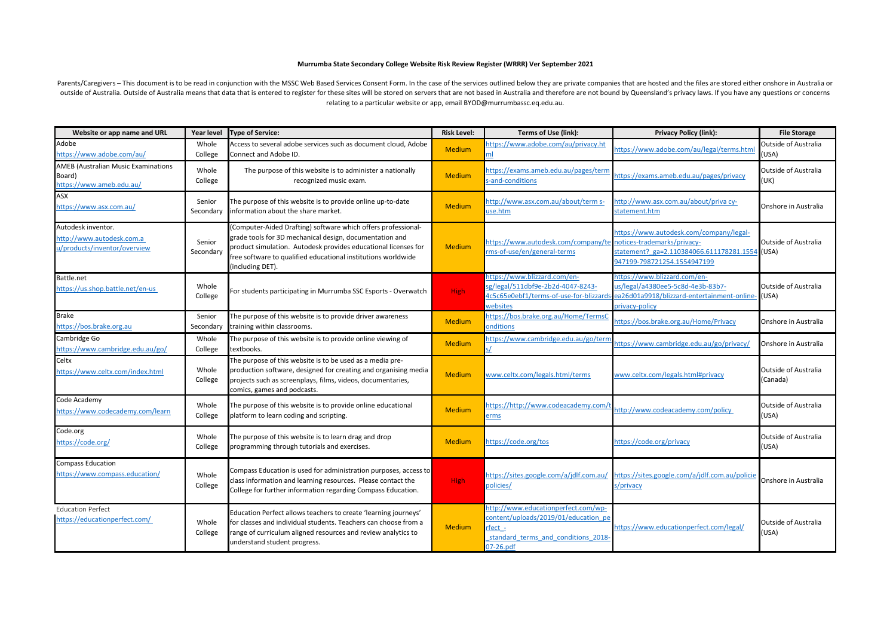## **Murrumba State Secondary College Website Risk Review Register (WRRR) Ver September 2021**

Parents/Caregivers - This document is to be read in conjunction with the MSSC Web Based Services Consent Form. In the case of the services outlined below they are private companies that are hosted and the files are stored outside of Australia. Outside of Australia means that data that is entered to register for these sites will be stored on servers that are not based in Australia and therefore are not bound by Queensland's privacy laws. If relating to a particular website or app, email BYOD@murrumbassc.eq.edu.au.

| Website or app name and URL                                                      | Year level          | <b>Type of Service:</b>                                                                                                                                                                                                                                                         | <b>Risk Level:</b> | <b>Terms of Use (link):</b>                                                                                                              | <b>Privacy Policy (link):</b>                                                                                                                           | <b>File Storage</b>                  |
|----------------------------------------------------------------------------------|---------------------|---------------------------------------------------------------------------------------------------------------------------------------------------------------------------------------------------------------------------------------------------------------------------------|--------------------|------------------------------------------------------------------------------------------------------------------------------------------|---------------------------------------------------------------------------------------------------------------------------------------------------------|--------------------------------------|
| Adobe<br>https://www.adobe.com/au/                                               | Whole<br>College    | Access to several adobe services such as document cloud, Adobe<br>Connect and Adobe ID.                                                                                                                                                                                         | <b>Medium</b>      | nttps://www.adobe.com/au/privacy.ht<br>ml                                                                                                | https://www.adobe.com/au/legal/terms.html                                                                                                               | Outside of Australia<br>(USA)        |
| <b>AMEB (Australian Music Examinations</b><br>Board)<br>https://www.ameb.edu.au/ | Whole<br>College    | The purpose of this website is to administer a nationally<br>recognized music exam.                                                                                                                                                                                             | <b>Medium</b>      | https://exams.ameb.edu.au/pages/term<br>s-and-conditions                                                                                 | https://exams.ameb.edu.au/pages/privacy                                                                                                                 | <b>Outside of Australia</b><br>(UK)  |
| <b>ASX</b><br>ttps://www.asx.com.au/                                             | Senior<br>Secondary | The purpose of this website is to provide online up-to-date<br>information about the share market.                                                                                                                                                                              | <b>Medium</b>      | nttp://www.asx.com.au/about/term s-<br>use.htm                                                                                           | http://www.asx.com.au/about/priva cy-<br>statement.htm                                                                                                  | Onshore in Australia                 |
| Autodesk inventor.<br>http://www.autodesk.com.a<br>u/products/inventor/overview  | Senior<br>Secondary | (Computer-Aided Drafting) software which offers professional-<br>grade tools for 3D mechanical design, documentation and<br>product simulation. Autodesk provides educational licenses for<br>free software to qualified educational institutions worldwide<br>(including DET). | <b>Medium</b>      | nttps://www.autodesk.com/company/te<br>ms-of-use/en/general-terms                                                                        | https://www.autodesk.com/company/legal-<br>notices-trademarks/privacy-<br>statement? ga=2.110384066.611178281.1554 (USA)<br>947199-798721254.1554947199 | <b>Outside of Australia</b>          |
| Battle.net<br>https://us.shop.battle.net/en-us                                   | Whole<br>College    | or students participating in Murrumba SSC Esports - Overwatch                                                                                                                                                                                                                   | <b>High</b>        | -1ttps://www.blizzard.com/en<br>sg/legal/511dbf9e-2b2d-4047-8243-<br>4c5c65e0ebf1/terms-of-use-for-blizzards<br>websites                 | -1ttps://www.blizzard.com/en<br>us/legal/a4380ee5-5c8d-4e3b-83b7-<br>ea26d01a9918/blizzard-entertainment-online<br>privacy-policy                       | <b>Outside of Australia</b><br>(USA) |
| <b>Brake</b><br>https://bos.brake.org.au                                         | Senior<br>Secondary | The purpose of this website is to provide driver awareness<br>training within classrooms.                                                                                                                                                                                       | <b>Medium</b>      | https://bos.brake.org.au/Home/TermsC<br><b>onditions</b>                                                                                 | https://bos.brake.org.au/Home/Privacy                                                                                                                   | Onshore in Australia                 |
| Cambridge Go<br>https://www.cambridge.edu.au/go/                                 | Whole<br>College    | The purpose of this website is to provide online viewing of<br>textbooks.                                                                                                                                                                                                       | <b>Medium</b>      | nttps://www.cambridge.edu.au/go/term                                                                                                     | https://www.cambridge.edu.au/go/privacy/                                                                                                                | Onshore in Australia                 |
| Celtx<br>https://www.celtx.com/index.html                                        | Whole<br>College    | The purpose of this website is to be used as a media pre-<br>production software, designed for creating and organising media<br>projects such as screenplays, films, videos, documentaries,<br>comics, games and podcasts.                                                      | <b>Medium</b>      | www.celtx.com/legals.html/terms                                                                                                          | www.celtx.com/legals.html#privacy                                                                                                                       | Outside of Australia<br>(Canada)     |
| Code Academy<br>ttps://www.codecademy.com/learn                                  | Whole<br>College    | The purpose of this website is to provide online educational<br>platform to learn coding and scripting.                                                                                                                                                                         | <b>Medium</b>      | https://http://www.codeacademy.com/<br>erms                                                                                              | nttp://www.codeacademy.com/policy                                                                                                                       | <b>Outside of Australia</b><br>(USA) |
| Code.org<br>https://code.org/                                                    | Whole<br>College    | The purpose of this website is to learn drag and drop<br>programming through tutorials and exercises.                                                                                                                                                                           | Medium             | nttps://code.org/tos                                                                                                                     | https://code.org/privacy                                                                                                                                | <b>Outside of Australia</b><br>(USA) |
| <b>Compass Education</b><br>https://www.compass.education/                       | Whole<br>College    | Compass Education is used for administration purposes, access to<br>class information and learning resources. Please contact the<br>College for further information regarding Compass Education.                                                                                | <b>High</b>        | /1ttps://sites.google.com/a/jdlf.com.au<br>oolicies/                                                                                     | https://sites.google.com/a/jdlf.com.au/policie<br>s/privacy                                                                                             | Onshore in Australia                 |
| <b>Education Perfect</b><br>https://educationperfect.com/                        | Whole<br>College    | Education Perfect allows teachers to create 'learning journeys'<br>for classes and individual students. Teachers can choose from a<br>range of curriculum aligned resources and review analytics to<br>understand student progress.                                             | <b>Medium</b>      | http://www.educationperfect.com/wp-<br>content/uploads/2019/01/education po<br>fect -<br>standard terms and conditions 2018<br>07-26.pdf | https://www.educationperfect.com/legal/                                                                                                                 | <b>Outside of Australia</b><br>(USA) |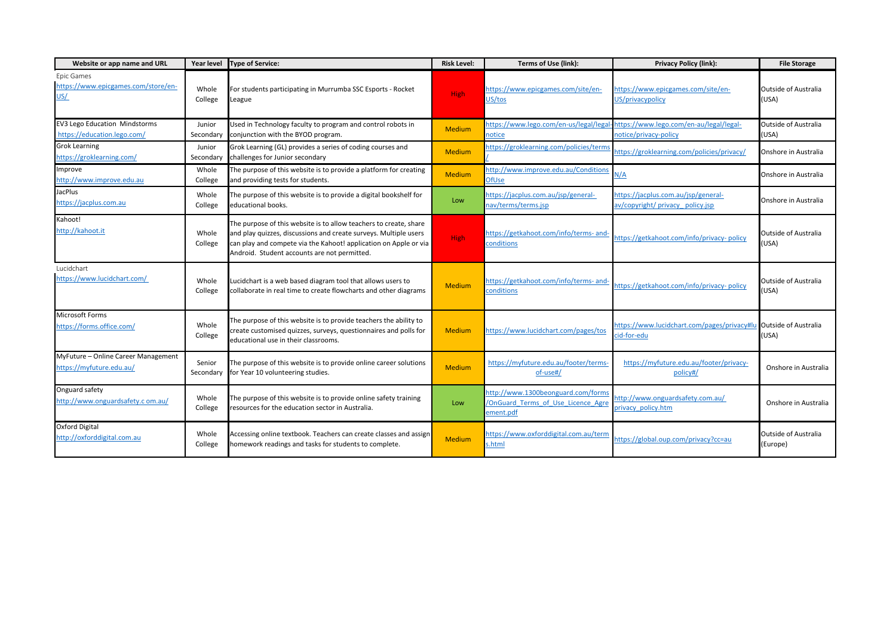| Website or app name and URL                                         | Year level          | <b>Type of Service:</b>                                                                                                                                                                                                                                   | <b>Risk Level:</b> | Terms of Use (link):                                                                         | <b>Privacy Policy (link):</b>                                                                           | <b>File Storage</b>                     |
|---------------------------------------------------------------------|---------------------|-----------------------------------------------------------------------------------------------------------------------------------------------------------------------------------------------------------------------------------------------------------|--------------------|----------------------------------------------------------------------------------------------|---------------------------------------------------------------------------------------------------------|-----------------------------------------|
| Epic Games<br>https://www.epicgames.com/store/en-<br>US/            | Whole<br>College    | For students participating in Murrumba SSC Esports - Rocket<br>League                                                                                                                                                                                     | <b>High</b>        | https://www.epicgames.com/site/en-<br>US/tos                                                 | https://www.epicgames.com/site/en-<br>US/privacypolicy                                                  | <b>Outside of Australia</b><br>(USA)    |
| <b>EV3 Lego Education Mindstorms</b><br>https://education.lego.com/ | Junior<br>Secondary | Used in Technology faculty to program and control robots in<br>conjunction with the BYOD program.                                                                                                                                                         | <b>Medium</b>      | notice                                                                                       | https://www.lego.com/en-us/legal/legal-https://www.lego.com/en-au/legal/legal-<br>notice/privacy-policy | <b>Outside of Australia</b><br>(USA)    |
| <b>Grok Learning</b><br>https://groklearning.com/                   | Junior<br>Secondary | Grok Learning (GL) provides a series of coding courses and<br>challenges for Junior secondary                                                                                                                                                             | <b>Medium</b>      | https://groklearning.com/policies/terms                                                      | https://groklearning.com/policies/privacy/                                                              | Onshore in Australia                    |
| Improve<br>http://www.improve.edu.au                                | Whole<br>College    | The purpose of this website is to provide a platform for creating<br>and providing tests for students.                                                                                                                                                    | <b>Medium</b>      | nttp://www.improve.edu.au/Conditions<br><b>OfUse</b>                                         | N/A                                                                                                     | Onshore in Australia                    |
| <b>JacPlus</b><br>https://jacplus.com.au                            | Whole<br>College    | The purpose of this website is to provide a digital bookshelf for<br>educational books.                                                                                                                                                                   | Low                | https://jacplus.com.au/jsp/general-<br>nav/terms/terms.jsp                                   | https://jacplus.com.au/jsp/general-<br>av/copyright/ privacy policy.jsp                                 | Onshore in Australia                    |
| Kahoot!<br>http://kahoot.it                                         | Whole<br>College    | The purpose of this website is to allow teachers to create, share<br>and play quizzes, discussions and create surveys. Multiple users<br>can play and compete via the Kahoot! application on Apple or via<br>Android. Student accounts are not permitted. | <b>High</b>        | https://getkahoot.com/info/terms-and-<br>conditions                                          | https://getkahoot.com/info/privacy-policy                                                               | <b>Outside of Australia</b><br>(USA)    |
| Lucidchart<br>https://www.lucidchart.com/                           | Whole<br>College    | Lucidchart is a web based diagram tool that allows users to<br>collaborate in real time to create flowcharts and other diagrams                                                                                                                           | Medium             | https://getkahoot.com/info/terms-and-<br>conditions                                          | https://getkahoot.com/info/privacy-policy                                                               | <b>Outside of Australia</b><br>(USA)    |
| <b>Microsoft Forms</b><br>https://forms.office.com/                 | Whole<br>College    | The purpose of this website is to provide teachers the ability to<br>create customised quizzes, surveys, questionnaires and polls for<br>educational use in their classrooms.                                                                             | Medium             | nttps://www.lucidchart.com/pages/tos                                                         | https://www.lucidchart.com/pages/privacy#lu Outside of Australia<br>cid-for-edu                         | (USA)                                   |
| MyFuture - Online Career Management<br>https://myfuture.edu.au/     | Senior<br>Secondary | The purpose of this website is to provide online career solutions<br>for Year 10 volunteering studies.                                                                                                                                                    | <b>Medium</b>      | https://myfuture.edu.au/footer/terms-<br>of-use#/                                            | https://myfuture.edu.au/footer/privacy-<br>policy#/                                                     | Onshore in Australia                    |
| Onguard safety<br>http://www.onguardsafety.c om.au/                 | Whole<br>College    | The purpose of this website is to provide online safety training<br>resources for the education sector in Australia.                                                                                                                                      | Low                | nttp://www.1300beonguard.com/forms<br><b>/OnGuard Terms of Use Licence Agre</b><br>ement.pdf | http://www.onguardsafety.com.au/<br>privacy policy.htm                                                  | Onshore in Australia                    |
| Oxford Digital<br>http://oxforddigital.com.au                       | Whole<br>College    | Accessing online textbook. Teachers can create classes and assign<br>homework readings and tasks for students to complete.                                                                                                                                | Medium             | nttps://www.oxforddigital.com.au/term<br>s.html                                              | https://global.oup.com/privacy?cc=au                                                                    | <b>Outside of Australia</b><br>(Europe) |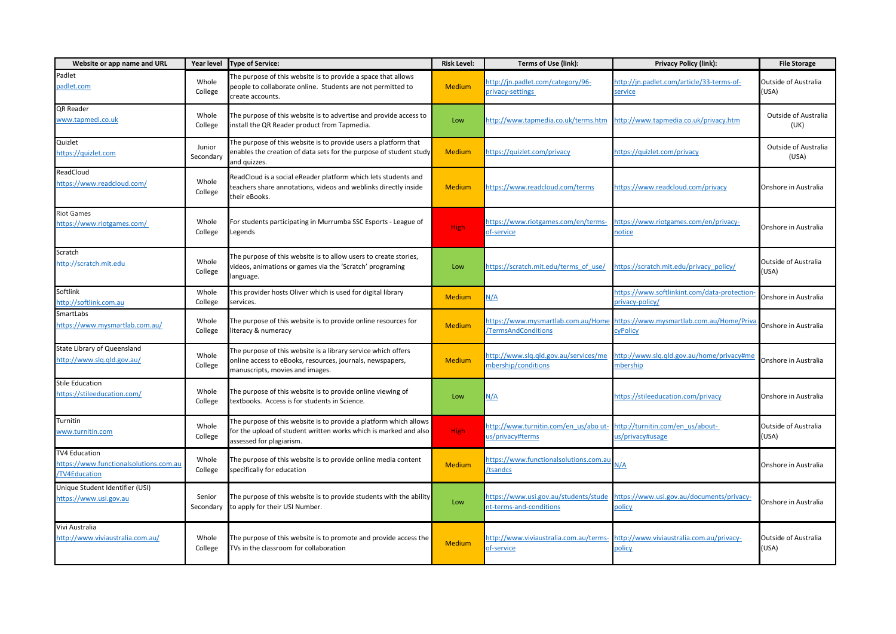| Website or app name and URL                                                           | Year level          | <b>Type of Service:</b>                                                                                                                                           | <b>Risk Level:</b> | Terms of Use (link):                                             | <b>Privacy Policy (link):</b>                                   | <b>File Storage</b>                  |
|---------------------------------------------------------------------------------------|---------------------|-------------------------------------------------------------------------------------------------------------------------------------------------------------------|--------------------|------------------------------------------------------------------|-----------------------------------------------------------------|--------------------------------------|
| Padlet<br>padlet.com                                                                  | Whole<br>College    | The purpose of this website is to provide a space that allows<br>people to collaborate online. Students are not permitted to<br>create accounts.                  | <b>Medium</b>      | http://jn.padlet.com/category/96-<br>privacy-settings            | http://jn.padlet.com/article/33-terms-of-<br>service            | <b>Outside of Australia</b><br>(USA) |
| QR Reader<br>www.tapmedi.co.uk                                                        | Whole<br>College    | The purpose of this website is to advertise and provide access to<br>install the QR Reader product from Tapmedia.                                                 | Low                | http://www.tapmedia.co.uk/terms.htm                              | http://www.tapmedia.co.uk/privacy.htm                           | Outside of Australia<br>(UK)         |
| Quizlet<br>https://quizlet.com                                                        | Junior<br>Secondary | The purpose of this website is to provide users a platform that<br>enables the creation of data sets for the purpose of student study<br>and quizzes.             | <b>Medium</b>      | https://quizlet.com/privacy                                      | https://quizlet.com/privacy                                     | <b>Outside of Australia</b><br>(USA) |
| ReadCloud<br>https://www.readcloud.com/                                               | Whole<br>College    | ReadCloud is a social eReader platform which lets students and<br>teachers share annotations, videos and weblinks directly inside<br>their eBooks.                | <b>Medium</b>      | nttps://www.readcloud.com/terms                                  | https://www.readcloud.com/privacy                               | Onshore in Australia                 |
| Riot Games<br>https://www.riotgames.com/                                              | Whole<br>College    | For students participating in Murrumba SSC Esports - League of<br>Legends                                                                                         | <b>High</b>        | nttps://www.riotgames.com/en/terms-<br>of-service                | https://www.riotgames.com/en/privacy-<br>notice                 | Onshore in Australia                 |
| Scratch<br>http://scratch.mit.edu                                                     | Whole<br>College    | The purpose of this website is to allow users to create stories,<br>videos, animations or games via the 'Scratch' programing<br>language.                         | Low                | https://scratch.mit.edu/terms of use/                            | https://scratch.mit.edu/privacy_policy/                         | <b>Outside of Australia</b><br>(USA) |
| Softlink<br>http://softlink.com.au                                                    | Whole<br>College    | This provider hosts Oliver which is used for digital library<br>services.                                                                                         | <b>Medium</b>      | N/A                                                              | https://www.softlinkint.com/data-protection-<br>privacy-policy/ | Onshore in Australia                 |
| SmartLabs<br>https://www.mysmartlab.com.au/                                           | Whole<br>College    | The purpose of this website is to provide online resources for<br>literacy & numeracy                                                                             | <b>Medium</b>      | ittps://www.mysmartlab.com.au/Home<br><b>TermsAndConditions</b>  | https://www.mysmartlab.com.au/Home/Priva<br><b>CyPolicy</b>     | Onshore in Australia                 |
| State Library of Queensland<br>http://www.slq.qld.gov.au/                             | Whole<br>College    | The purpose of this website is a library service which offers<br>online access to eBooks, resources, journals, newspapers,<br>manuscripts, movies and images.     | <b>Medium</b>      | ittp://www.slq.qld.gov.au/services/me<br>nbership/conditions     | nttp://www.slq.qld.gov.au/home/privacy#me<br>nbership           | Onshore in Australia                 |
| <b>Stile Education</b><br>https://stileeducation.com/                                 | Whole<br>College    | The purpose of this website is to provide online viewing of<br>textbooks. Access is for students in Science.                                                      | Low                | <u> ۱/۸</u>                                                      | https://stileeducation.com/privacy                              | Onshore in Australia                 |
| Turnitin<br>www.turnitin.com                                                          | Whole<br>College    | The purpose of this website is to provide a platform which allows<br>for the upload of student written works which is marked and also<br>assessed for plagiarism. | <b>High</b>        | http://www.turnitin.com/en_us/abo ut-<br>us/privacy#terms        | http://turnitin.com/en us/about-<br>us/privacy#usage            | <b>Outside of Australia</b><br>(USA) |
| <b>TV4 Education</b><br>https://www.functionalsolutions.com.au<br><b>TV4Education</b> | Whole<br>College    | The purpose of this website is to provide online media content<br>specifically for education                                                                      | <b>Medium</b>      | nttps://www.functionalsolutions.com.au<br>tsandcs                | ۷/A                                                             | Onshore in Australia                 |
| Unique Student Identifier (USI)<br>https://www.usi.gov.au                             | Senior<br>Secondary | The purpose of this website is to provide students with the ability<br>to apply for their USI Number.                                                             | Low                | https://www.usi.gov.au/students/stude<br>nt-terms-and-conditions | https://www.usi.gov.au/documents/privacy-<br>policy             | Onshore in Australia                 |
| Vivi Australia<br>http://www.viviaustralia.com.au/                                    | Whole<br>College    | The purpose of this website is to promote and provide access the<br>TVs in the classroom for collaboration                                                        | Medium             | http://www.viviaustralia.com.au/terms-<br>of-service             | http://www.viviaustralia.com.au/privacy-<br>policy              | <b>Outside of Australia</b><br>(USA) |